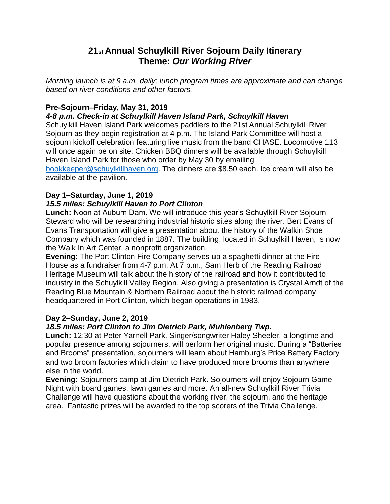# **21st Annual Schuylkill River Sojourn Daily Itinerary Theme:** *Our Working River*

*Morning launch is at 9 a.m. daily; lunch program times are approximate and can change based on river conditions and other factors.*

# **Pre-Sojourn–Friday, May 31, 2019**

### *4-8 p.m. Check-in at Schuylkill Haven Island Park, Schuylkill Haven*

Schuylkill Haven Island Park welcomes paddlers to the 21st Annual Schuylkill River Sojourn as they begin registration at 4 p.m. The Island Park Committee will host a sojourn kickoff celebration featuring live music from the band CHASE. Locomotive 113 will once again be on site. Chicken BBQ dinners will be available through Schuylkill Haven Island Park for those who order by May 30 by emailing [bookkeeper@schuylkillhaven.org.](mailto:bookkeeper@schuylkillhaven.org) The dinners are \$8.50 each. Ice cream will also be available at the pavilion.

### **Day 1–Saturday, June 1, 2019**

### *15.5 miles: Schuylkill Haven to Port Clinton*

**Lunch:** Noon at Auburn Dam. We will introduce this year's Schuylkill River Sojourn Steward who will be researching industrial historic sites along the river. Bert Evans of Evans Transportation will give a presentation about the history of the Walkin Shoe Company which was founded in 1887. The building, located in Schuylkill Haven, is now the Walk In Art Center, a nonprofit organization.

**Evening**: The Port Clinton Fire Company serves up a spaghetti dinner at the Fire House as a fundraiser from 4-7 p.m. At 7 p.m., Sam Herb of the Reading Railroad Heritage Museum will talk about the history of the railroad and how it contributed to industry in the Schuylkill Valley Region. Also giving a presentation is Crystal Arndt of the Reading Blue Mountain & Northern Railroad about the historic railroad company headquartered in Port Clinton, which began operations in 1983.

### **Day 2–Sunday, June 2, 2019**

### *18.5 miles: Port Clinton to Jim Dietrich Park, Muhlenberg Twp.*

**Lunch:** 12:30 at Peter Yarnell Park. Singer/songwriter Haley Sheeler, a longtime and popular presence among sojourners, will perform her original music. During a "Batteries and Brooms" presentation, sojourners will learn about Hamburg's Price Battery Factory and two broom factories which claim to have produced more brooms than anywhere else in the world.

**Evening:** Sojourners camp at Jim Dietrich Park. Sojourners will enjoy Sojourn Game Night with board games, lawn games and more. An all-new Schuylkill River Trivia Challenge will have questions about the working river, the sojourn, and the heritage area. Fantastic prizes will be awarded to the top scorers of the Trivia Challenge.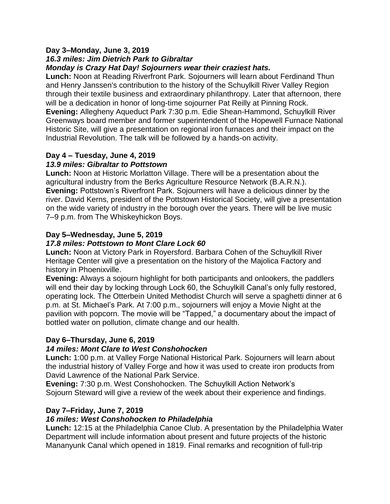#### **Day 3–Monday, June 3, 2019** *16.3 miles: Jim Dietrich Park to Gibraltar Monday is Crazy Hat Day! Sojourners wear their craziest hats.*

**Lunch:** Noon at Reading Riverfront Park. Sojourners will learn about Ferdinand Thun and Henry Janssen's contribution to the history of the Schuylkill River Valley Region through their textile business and extraordinary philanthropy. Later that afternoon, there will be a dedication in honor of long-time sojourner Pat Reilly at Pinning Rock. **Evening:** Allegheny Aqueduct Park 7:30 p.m. Edie Shean-Hammond, Schuylkill River Greenways board member and former superintendent of the Hopewell Furnace National Historic Site, will give a presentation on regional iron furnaces and their impact on the Industrial Revolution. The talk will be followed by a hands-on activity.

# **Day 4 – Tuesday, June 4, 2019**

# *13.9 miles: Gibraltar to Pottstown*

**Lunch:** Noon at Historic Morlatton Village. There will be a presentation about the agricultural industry from the Berks Agriculture Resource Network (B.A.R.N.). **Evening:** Pottstown's Riverfront Park. Sojourners will have a delicious dinner by the river. David Kerns, president of the Pottstown Historical Society, will give a presentation on the wide variety of industry in the borough over the years. There will be live music 7–9 p.m. from The Whiskeyhickon Boys.

# **Day 5–Wednesday, June 5, 2019**

# *17.8 miles: Pottstown to Mont Clare Lock 60*

**Lunch:** Noon at Victory Park in Royersford. Barbara Cohen of the Schuylkill River Heritage Center will give a presentation on the history of the Majolica Factory and history in Phoenixville.

**Evening:** Always a sojourn highlight for both participants and onlookers, the paddlers will end their day by locking through Lock 60, the Schuylkill Canal's only fully restored, operating lock. The Otterbein United Methodist Church will serve a spaghetti dinner at 6 p.m. at St. Michael's Park. At 7:00 p.m., sojourners will enjoy a Movie Night at the pavilion with popcorn. The movie will be "Tapped," a documentary about the impact of bottled water on pollution, climate change and our health.

# **Day 6–Thursday, June 6, 2019**

# *14 miles: Mont Clare to West Conshohocken*

**Lunch:** 1:00 p.m. at Valley Forge National Historical Park. Sojourners will learn about the industrial history of Valley Forge and how it was used to create iron products from David Lawrence of the National Park Service.

**Evening:** 7:30 p.m. West Conshohocken. The Schuylkill Action Network's Sojourn Steward will give a review of the week about their experience and findings.

# **Day 7–Friday, June 7, 2019**

# *16 miles: West Conshohocken to Philadelphia*

**Lunch:** 12:15 at the Philadelphia Canoe Club. A presentation by the Philadelphia Water Department will include information about present and future projects of the historic Mananyunk Canal which opened in 1819. Final remarks and recognition of full-trip